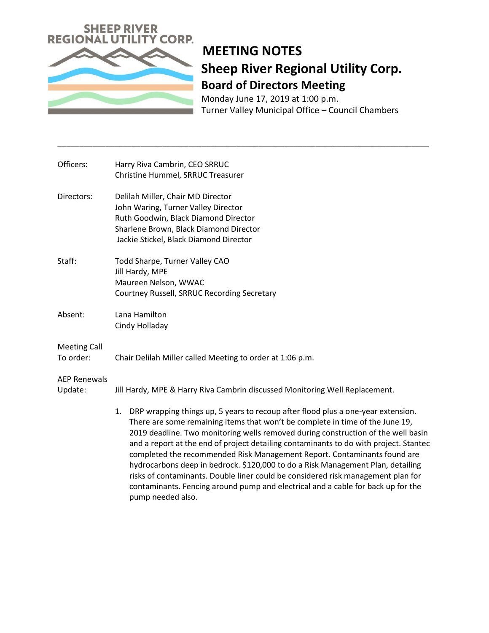

## **MEETING NOTES Sheep River Regional Utility Corp. Board of Directors Meeting**

Monday June 17, 2019 at 1:00 p.m. Turner Valley Municipal Office – Council Chambers

| Officers:                        | Harry Riva Cambrin, CEO SRRUC<br>Christine Hummel, SRRUC Treasurer                                                                                                                                                                                                                                                                                                                                                                                                                                                                                                                                                                                                                                                |
|----------------------------------|-------------------------------------------------------------------------------------------------------------------------------------------------------------------------------------------------------------------------------------------------------------------------------------------------------------------------------------------------------------------------------------------------------------------------------------------------------------------------------------------------------------------------------------------------------------------------------------------------------------------------------------------------------------------------------------------------------------------|
| Directors:                       | Delilah Miller, Chair MD Director<br>John Waring, Turner Valley Director<br>Ruth Goodwin, Black Diamond Director<br>Sharlene Brown, Black Diamond Director<br>Jackie Stickel, Black Diamond Director                                                                                                                                                                                                                                                                                                                                                                                                                                                                                                              |
| Staff:                           | Todd Sharpe, Turner Valley CAO<br>Jill Hardy, MPE<br>Maureen Nelson, WWAC<br>Courtney Russell, SRRUC Recording Secretary                                                                                                                                                                                                                                                                                                                                                                                                                                                                                                                                                                                          |
| Absent:                          | Lana Hamilton<br>Cindy Holladay                                                                                                                                                                                                                                                                                                                                                                                                                                                                                                                                                                                                                                                                                   |
| <b>Meeting Call</b><br>To order: | Chair Delilah Miller called Meeting to order at 1:06 p.m.                                                                                                                                                                                                                                                                                                                                                                                                                                                                                                                                                                                                                                                         |
| <b>AEP Renewals</b><br>Update:   | Jill Hardy, MPE & Harry Riva Cambrin discussed Monitoring Well Replacement.                                                                                                                                                                                                                                                                                                                                                                                                                                                                                                                                                                                                                                       |
|                                  | DRP wrapping things up, 5 years to recoup after flood plus a one-year extension.<br>1.<br>There are some remaining items that won't be complete in time of the June 19,<br>2019 deadline. Two monitoring wells removed during construction of the well basin<br>and a report at the end of project detailing contaminants to do with project. Stantec<br>completed the recommended Risk Management Report. Contaminants found are<br>hydrocarbons deep in bedrock. \$120,000 to do a Risk Management Plan, detailing<br>risks of contaminants. Double liner could be considered risk management plan for<br>contaminants. Fencing around pump and electrical and a cable for back up for the<br>pump needed also. |

\_\_\_\_\_\_\_\_\_\_\_\_\_\_\_\_\_\_\_\_\_\_\_\_\_\_\_\_\_\_\_\_\_\_\_\_\_\_\_\_\_\_\_\_\_\_\_\_\_\_\_\_\_\_\_\_\_\_\_\_\_\_\_\_\_\_\_\_\_\_\_\_\_\_\_\_\_\_\_\_\_\_\_\_\_